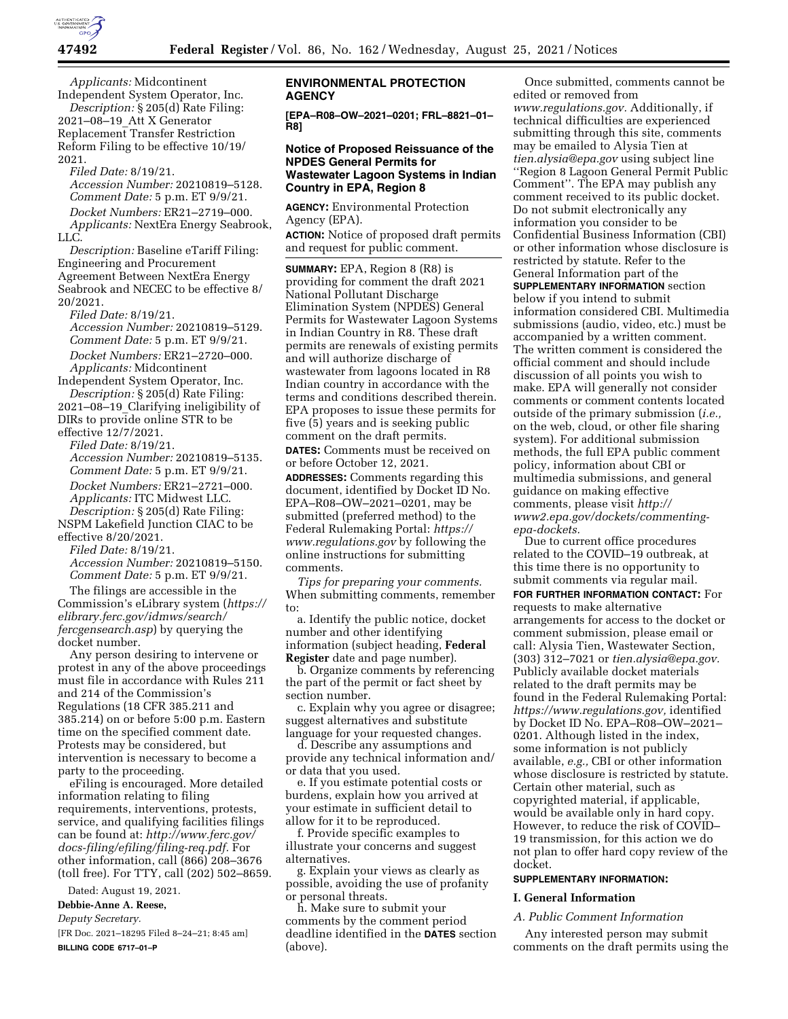

*Applicants:* Midcontinent Independent System Operator, Inc.

*Description:* § 205(d) Rate Filing: 2021–08–19\_Att X Generator Replacement Transfer Restriction Reform Filing to be effective 10/19/ 2021.

*Filed Date:* 8/19/21.

*Accession Number:* 20210819–5128. *Comment Date:* 5 p.m. ET 9/9/21. *Docket Numbers:* ER21–2719–000.

*Applicants:* NextEra Energy Seabrook, LLC.

*Description:* Baseline eTariff Filing: Engineering and Procurement Agreement Between NextEra Energy Seabrook and NECEC to be effective 8/ 20/2021.

*Filed Date:* 8/19/21. *Accession Number:* 20210819–5129. *Comment Date:* 5 p.m. ET 9/9/21. *Docket Numbers:* ER21–2720–000. *Applicants:* Midcontinent

Independent System Operator, Inc. *Description:* § 205(d) Rate Filing: 2021–08–19\_Clarifying ineligibility of

DIRs to provide online STR to be effective 12/7/2021. *Filed Date:* 8/19/21.

*Accession Number:* 20210819–5135. *Comment Date:* 5 p.m. ET 9/9/21.

*Docket Numbers:* ER21–2721–000. *Applicants:* ITC Midwest LLC. *Description:* § 205(d) Rate Filing:

NSPM Lakefield Junction CIAC to be effective 8/20/2021.

*Filed Date:* 8/19/21.

*Accession Number:* 20210819–5150. *Comment Date:* 5 p.m. ET 9/9/21.

The filings are accessible in the Commission's eLibrary system (*[https://](https://elibrary.ferc.gov/idmws/search/fercgensearch.asp) [elibrary.ferc.gov/idmws/search/](https://elibrary.ferc.gov/idmws/search/fercgensearch.asp) [fercgensearch.asp](https://elibrary.ferc.gov/idmws/search/fercgensearch.asp)*) by querying the docket number.

Any person desiring to intervene or protest in any of the above proceedings must file in accordance with Rules 211 and 214 of the Commission's Regulations (18 CFR 385.211 and 385.214) on or before 5:00 p.m. Eastern time on the specified comment date. Protests may be considered, but intervention is necessary to become a party to the proceeding.

eFiling is encouraged. More detailed information relating to filing requirements, interventions, protests, service, and qualifying facilities filings can be found at: *[http://www.ferc.gov/](http://www.ferc.gov/docs-filing/efiling/filing-req.pdf)  [docs-filing/efiling/filing-req.pdf.](http://www.ferc.gov/docs-filing/efiling/filing-req.pdf)* For other information, call (866) 208–3676 (toll free). For TTY, call (202) 502–8659.

Dated: August 19, 2021.

# **Debbie-Anne A. Reese,**

*Deputy Secretary.* 

[FR Doc. 2021–18295 Filed 8–24–21; 8:45 am] **BILLING CODE 6717–01–P** 

# **ENVIRONMENTAL PROTECTION AGENCY**

**[EPA–R08–OW–2021–0201; FRL–8821–01– R8]** 

# **Notice of Proposed Reissuance of the NPDES General Permits for Wastewater Lagoon Systems in Indian Country in EPA, Region 8**

**AGENCY:** Environmental Protection Agency (EPA).

**ACTION:** Notice of proposed draft permits and request for public comment.

**SUMMARY:** EPA, Region 8 (R8) is providing for comment the draft 2021 National Pollutant Discharge Elimination System (NPDES) General Permits for Wastewater Lagoon Systems in Indian Country in R8. These draft permits are renewals of existing permits and will authorize discharge of wastewater from lagoons located in R8 Indian country in accordance with the terms and conditions described therein. EPA proposes to issue these permits for five (5) years and is seeking public comment on the draft permits. **DATES:** Comments must be received on or before October 12, 2021.

**ADDRESSES:** Comments regarding this document, identified by Docket ID No. EPA–R08–OW–2021–0201, may be submitted (preferred method) to the Federal Rulemaking Portal: *[https://](https://www.regulations.gov) [www.regulations.gov](https://www.regulations.gov)* by following the online instructions for submitting comments.

*Tips for preparing your comments.*  When submitting comments, remember to:

a. Identify the public notice, docket number and other identifying information (subject heading, **Federal Register** date and page number).

b. Organize comments by referencing the part of the permit or fact sheet by section number.

c. Explain why you agree or disagree; suggest alternatives and substitute language for your requested changes.

d. Describe any assumptions and provide any technical information and/ or data that you used.

e. If you estimate potential costs or burdens, explain how you arrived at your estimate in sufficient detail to allow for it to be reproduced.

f. Provide specific examples to illustrate your concerns and suggest alternatives.

g. Explain your views as clearly as possible, avoiding the use of profanity or personal threats.

h. Make sure to submit your comments by the comment period deadline identified in the **DATES** section (above).

Once submitted, comments cannot be edited or removed from *[www.regulations.gov.](http://www.regulations.gov)* Additionally, if technical difficulties are experienced submitting through this site, comments may be emailed to Alysia Tien at *[tien.alysia@epa.gov](mailto:tien.alysia@epa.gov)* using subject line ''Region 8 Lagoon General Permit Public Comment''. The EPA may publish any comment received to its public docket. Do not submit electronically any information you consider to be Confidential Business Information (CBI) or other information whose disclosure is restricted by statute. Refer to the General Information part of the

**SUPPLEMENTARY INFORMATION** section below if you intend to submit information considered CBI. Multimedia submissions (audio, video, etc.) must be accompanied by a written comment. The written comment is considered the official comment and should include discussion of all points you wish to make. EPA will generally not consider comments or comment contents located outside of the primary submission (*i.e.,*  on the web, cloud, or other file sharing system). For additional submission methods, the full EPA public comment policy, information about CBI or multimedia submissions, and general guidance on making effective comments, please visit *[http://](http://www2.epa.gov/dockets/commenting-epa-dockets) [www2.epa.gov/dockets/commenting](http://www2.epa.gov/dockets/commenting-epa-dockets)[epa-dockets.](http://www2.epa.gov/dockets/commenting-epa-dockets)* 

Due to current office procedures related to the COVID–19 outbreak, at this time there is no opportunity to submit comments via regular mail.

**FOR FURTHER INFORMATION CONTACT:** For requests to make alternative arrangements for access to the docket or comment submission, please email or call: Alysia Tien, Wastewater Section, (303) 312–7021 or *[tien.alysia@epa.gov.](mailto:tien.alysia@epa.gov)*  Publicly available docket materials related to the draft permits may be found in the Federal Rulemaking Portal: *[https://www.regulations.gov,](https://www.regulations.gov)* identified by Docket ID No. EPA–R08–OW–2021– 0201. Although listed in the index, some information is not publicly available, *e.g.,* CBI or other information whose disclosure is restricted by statute. Certain other material, such as copyrighted material, if applicable, would be available only in hard copy. However, to reduce the risk of COVID– 19 transmission, for this action we do not plan to offer hard copy review of the docket.

# **SUPPLEMENTARY INFORMATION:**

#### **I. General Information**

#### *A. Public Comment Information*

Any interested person may submit comments on the draft permits using the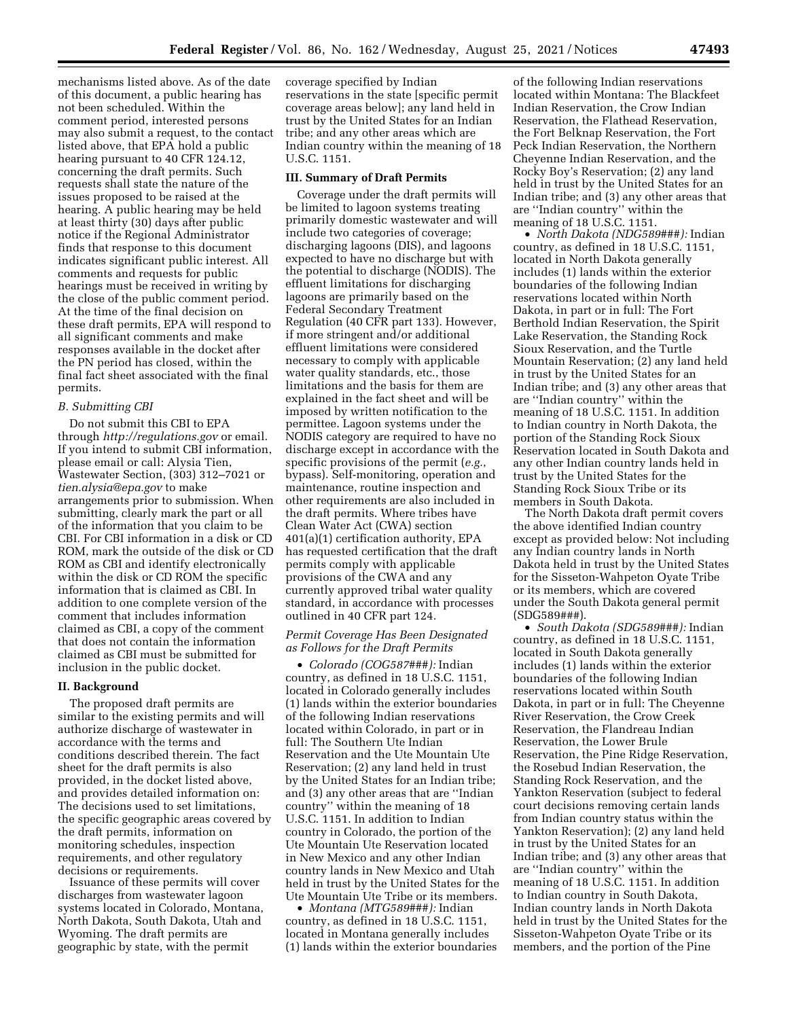mechanisms listed above. As of the date of this document, a public hearing has not been scheduled. Within the comment period, interested persons may also submit a request, to the contact listed above, that EPA hold a public hearing pursuant to 40 CFR 124.12, concerning the draft permits. Such requests shall state the nature of the issues proposed to be raised at the hearing. A public hearing may be held at least thirty (30) days after public notice if the Regional Administrator finds that response to this document indicates significant public interest. All comments and requests for public hearings must be received in writing by the close of the public comment period. At the time of the final decision on these draft permits, EPA will respond to all significant comments and make responses available in the docket after the PN period has closed, within the final fact sheet associated with the final permits.

#### *B. Submitting CBI*

Do not submit this CBI to EPA through *<http://regulations.gov>* or email. If you intend to submit CBI information, please email or call: Alysia Tien, Wastewater Section, (303) 312–7021 or *[tien.alysia@epa.gov](mailto:tien.alysia@epa.gov)* to make arrangements prior to submission. When submitting, clearly mark the part or all of the information that you claim to be CBI. For CBI information in a disk or CD ROM, mark the outside of the disk or CD ROM as CBI and identify electronically within the disk or CD ROM the specific information that is claimed as CBI. In addition to one complete version of the comment that includes information claimed as CBI, a copy of the comment that does not contain the information claimed as CBI must be submitted for inclusion in the public docket.

#### **II. Background**

The proposed draft permits are similar to the existing permits and will authorize discharge of wastewater in accordance with the terms and conditions described therein. The fact sheet for the draft permits is also provided, in the docket listed above, and provides detailed information on: The decisions used to set limitations, the specific geographic areas covered by the draft permits, information on monitoring schedules, inspection requirements, and other regulatory decisions or requirements.

Issuance of these permits will cover discharges from wastewater lagoon systems located in Colorado, Montana, North Dakota, South Dakota, Utah and Wyoming. The draft permits are geographic by state, with the permit

coverage specified by Indian reservations in the state [specific permit coverage areas below]; any land held in trust by the United States for an Indian tribe; and any other areas which are Indian country within the meaning of 18 U.S.C. 1151.

#### **III. Summary of Draft Permits**

Coverage under the draft permits will be limited to lagoon systems treating primarily domestic wastewater and will include two categories of coverage; discharging lagoons (DIS), and lagoons expected to have no discharge but with the potential to discharge (NODIS). The effluent limitations for discharging lagoons are primarily based on the Federal Secondary Treatment Regulation (40 CFR part 133). However, if more stringent and/or additional effluent limitations were considered necessary to comply with applicable water quality standards, etc., those limitations and the basis for them are explained in the fact sheet and will be imposed by written notification to the permittee. Lagoon systems under the NODIS category are required to have no discharge except in accordance with the specific provisions of the permit (*e.g.*, bypass). Self-monitoring, operation and maintenance, routine inspection and other requirements are also included in the draft permits. Where tribes have Clean Water Act (CWA) section 401(a)(1) certification authority, EPA has requested certification that the draft permits comply with applicable provisions of the CWA and any currently approved tribal water quality standard, in accordance with processes outlined in 40 CFR part 124.

# *Permit Coverage Has Been Designated as Follows for the Draft Permits*

• *Colorado (COG587###):* Indian country, as defined in 18 U.S.C. 1151, located in Colorado generally includes (1) lands within the exterior boundaries of the following Indian reservations located within Colorado, in part or in full: The Southern Ute Indian Reservation and the Ute Mountain Ute Reservation; (2) any land held in trust by the United States for an Indian tribe; and (3) any other areas that are ''Indian country'' within the meaning of 18 U.S.C. 1151. In addition to Indian country in Colorado, the portion of the Ute Mountain Ute Reservation located in New Mexico and any other Indian country lands in New Mexico and Utah held in trust by the United States for the Ute Mountain Ute Tribe or its members.

• *Montana (MTG589###):* Indian country, as defined in 18 U.S.C. 1151, located in Montana generally includes (1) lands within the exterior boundaries

of the following Indian reservations located within Montana: The Blackfeet Indian Reservation, the Crow Indian Reservation, the Flathead Reservation, the Fort Belknap Reservation, the Fort Peck Indian Reservation, the Northern Cheyenne Indian Reservation, and the Rocky Boy's Reservation; (2) any land held in trust by the United States for an Indian tribe; and (3) any other areas that are ''Indian country'' within the meaning of 18 U.S.C. 1151.

• *North Dakota (NDG589###):* Indian country, as defined in 18 U.S.C. 1151, located in North Dakota generally includes (1) lands within the exterior boundaries of the following Indian reservations located within North Dakota, in part or in full: The Fort Berthold Indian Reservation, the Spirit Lake Reservation, the Standing Rock Sioux Reservation, and the Turtle Mountain Reservation; (2) any land held in trust by the United States for an Indian tribe; and (3) any other areas that are ''Indian country'' within the meaning of 18 U.S.C. 1151. In addition to Indian country in North Dakota, the portion of the Standing Rock Sioux Reservation located in South Dakota and any other Indian country lands held in trust by the United States for the Standing Rock Sioux Tribe or its members in South Dakota.

The North Dakota draft permit covers the above identified Indian country except as provided below: Not including any Indian country lands in North Dakota held in trust by the United States for the Sisseton-Wahpeton Oyate Tribe or its members, which are covered under the South Dakota general permit (SDG589###).

• *South Dakota (SDG589###):* Indian country, as defined in 18 U.S.C. 1151, located in South Dakota generally includes (1) lands within the exterior boundaries of the following Indian reservations located within South Dakota, in part or in full: The Cheyenne River Reservation, the Crow Creek Reservation, the Flandreau Indian Reservation, the Lower Brule Reservation, the Pine Ridge Reservation, the Rosebud Indian Reservation, the Standing Rock Reservation, and the Yankton Reservation (subject to federal court decisions removing certain lands from Indian country status within the Yankton Reservation); (2) any land held in trust by the United States for an Indian tribe; and (3) any other areas that are ''Indian country'' within the meaning of 18 U.S.C. 1151. In addition to Indian country in South Dakota, Indian country lands in North Dakota held in trust by the United States for the Sisseton-Wahpeton Oyate Tribe or its members, and the portion of the Pine